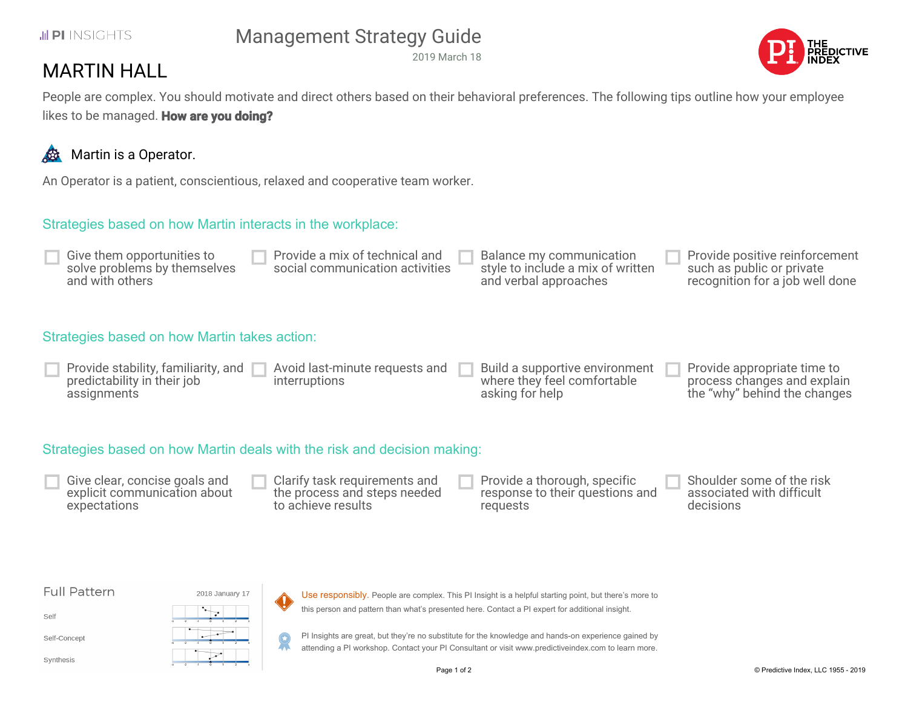#### JUPI INSIGHTS

# Management Strategy Guide

2019 March 18



## MARTIN HALL

People are complex. You should motivate and direct others based on their behavioral preferences. The following tips outline how your employee likes to be managed. **How are you doing?**

### Martin is a Operator.

An Operator is a patient, conscientious, relaxed and cooperative team worker.

#### Strategies based on how Martin interacts in the workplace:

| Provide a mix of technical and<br>Give them opportunities to<br>solve problems by themselves<br>social communication activities<br>and with others | Balance my communication<br>style to include a mix of written<br>and verbal approaches | Provide positive reinforcement<br>such as public or private<br>recognition for a job well done |
|----------------------------------------------------------------------------------------------------------------------------------------------------|----------------------------------------------------------------------------------------|------------------------------------------------------------------------------------------------|
|----------------------------------------------------------------------------------------------------------------------------------------------------|----------------------------------------------------------------------------------------|------------------------------------------------------------------------------------------------|

#### Strategies based on how Martin takes action:

| Provide stability, familiarity, and $\ $<br>predictability in their job<br>assignments | Avoid last-minute requests and<br>interruptions | Build a supportive environment<br>where they feel comfortable<br>asking for help | Provide appropriate time to<br>process changes and explain<br>the "why" behind the changes |
|----------------------------------------------------------------------------------------|-------------------------------------------------|----------------------------------------------------------------------------------|--------------------------------------------------------------------------------------------|
|----------------------------------------------------------------------------------------|-------------------------------------------------|----------------------------------------------------------------------------------|--------------------------------------------------------------------------------------------|

#### Strategies based on how Martin deals with the risk and decision making:

Give clear, concise goals and explicit communication about expectations

Clarify task requirements and the process and steps needed to achieve results

Provide a thorough, specific response to their questions and requests

Shoulder some of the risk associated with difficult decisions

#### **Full Pattern**

Self

Self-Concept

Synthesis



Use responsibly. People are complex. This PI Insight is a helpful starting point, but there's more to this person and pattern than what's presented here. Contact a PI expert for additional insight.

PI Insights are great, but they're no substitute for the knowledge and hands-on experience gained by 9 attending a PI workshop. Contact your PI Consultant or visit www.predictiveindex.com to learn more.